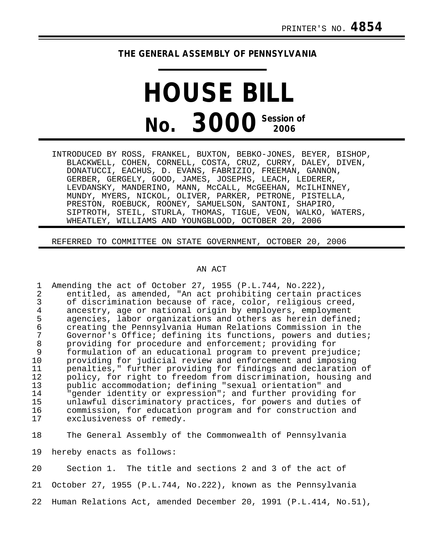## **THE GENERAL ASSEMBLY OF PENNSYLVANIA**

## **HOUSE BILL No. 3000 Session of**

INTRODUCED BY ROSS, FRANKEL, BUXTON, BEBKO-JONES, BEYER, BISHOP, BLACKWELL, COHEN, CORNELL, COSTA, CRUZ, CURRY, DALEY, DIVEN, DONATUCCI, EACHUS, D. EVANS, FABRIZIO, FREEMAN, GANNON, GERBER, GERGELY, GOOD, JAMES, JOSEPHS, LEACH, LEDERER, LEVDANSKY, MANDERINO, MANN, McCALL, McGEEHAN, McILHINNEY, MUNDY, MYERS, NICKOL, OLIVER, PARKER, PETRONE, PISTELLA, PRESTON, ROEBUCK, ROONEY, SAMUELSON, SANTONI, SHAPIRO, SIPTROTH, STEIL, STURLA, THOMAS, TIGUE, VEON, WALKO, WATERS, WHEATLEY, WILLIAMS AND YOUNGBLOOD, OCTOBER 20, 2006

REFERRED TO COMMITTEE ON STATE GOVERNMENT, OCTOBER 20, 2006

## AN ACT

1 Amending the act of October 27, 1955 (P.L.744, No.222),<br>2 entitled, as amended, "An act prohibiting certain pr 2 entitled, as amended, "An act prohibiting certain practices<br>3 of discrimination because of race, color, religious creed, 3 of discrimination because of race, color, religious creed,<br>4 ancestry, age or national origin by employers, employment 4 ancestry, age or national origin by employers, employment<br>5 agencies, labor organizations and others as herein defined 5 agencies, labor organizations and others as herein defined; 6 creating the Pennsylvania Human Relations Commission in the 7 Governor's Office; defining its functions, powers and duties;<br>8 providing for procedure and enforcement; providing for 8 providing for procedure and enforcement; providing for formulation of an educational program to prevent prejudice; 10 providing for judicial review and enforcement and imposing 11 penalties," further providing for findings and declaration of<br>12 policy, for right to freedom from discrimination, housing and 12 policy, for right to freedom from discrimination, housing and<br>13 public accommodation; defining "sexual orientation" and 13 public accommodation; defining "sexual orientation" and 14 "gender identity or expression"; and further providing for unlawful discriminatory practices, for powers and duties of 16 commission, for education program and for construction and<br>17 exclusiveness of remedy. exclusiveness of remedy.

18 The General Assembly of the Commonwealth of Pennsylvania

19 hereby enacts as follows:

20 Section 1. The title and sections 2 and 3 of the act of 21 October 27, 1955 (P.L.744, No.222), known as the Pennsylvania 22 Human Relations Act, amended December 20, 1991 (P.L.414, No.51),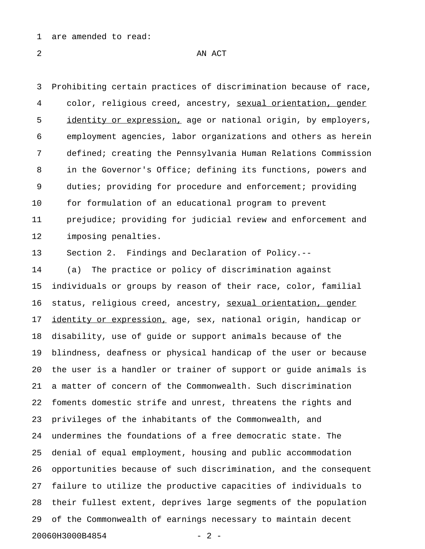1 are amended to read:

2 AN ACT

3 Prohibiting certain practices of discrimination because of race, 4 color, religious creed, ancestry, sexual orientation, gender \_\_\_\_\_\_\_\_\_\_\_\_\_\_\_\_\_\_\_\_\_\_\_\_\_\_ 5 identity or expression, age or national origin, by employers, 6 employment agencies, labor organizations and others as herein 7 defined; creating the Pennsylvania Human Relations Commission 8 in the Governor's Office; defining its functions, powers and 9 duties; providing for procedure and enforcement; providing 10 for formulation of an educational program to prevent 11 prejudice; providing for judicial review and enforcement and 12 imposing penalties.

13 Section 2. Findings and Declaration of Policy.--

14 (a) The practice or policy of discrimination against 15 individuals or groups by reason of their race, color, familial 16 status, religious creed, ancestry, sexual orientation, gender 17 identity or expression, age, sex, national origin, handicap or 18 disability, use of guide or support animals because of the 19 blindness, deafness or physical handicap of the user or because 20 the user is a handler or trainer of support or guide animals is 21 a matter of concern of the Commonwealth. Such discrimination 22 foments domestic strife and unrest, threatens the rights and 23 privileges of the inhabitants of the Commonwealth, and 24 undermines the foundations of a free democratic state. The 25 denial of equal employment, housing and public accommodation 26 opportunities because of such discrimination, and the consequent 27 failure to utilize the productive capacities of individuals to 28 their fullest extent, deprives large segments of the population 29 of the Commonwealth of earnings necessary to maintain decent 20060H3000B4854 - 2 -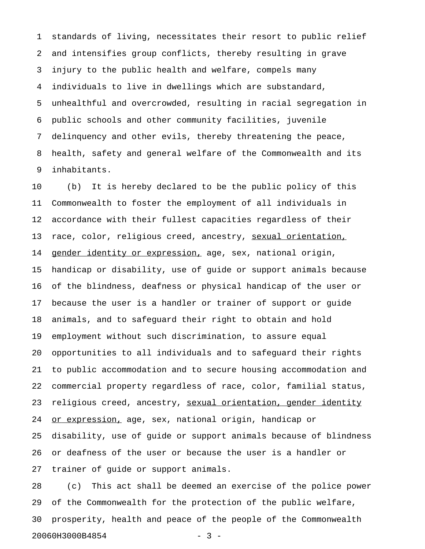1 standards of living, necessitates their resort to public relief 2 and intensifies group conflicts, thereby resulting in grave 3 injury to the public health and welfare, compels many 4 individuals to live in dwellings which are substandard, 5 unhealthful and overcrowded, resulting in racial segregation in 6 public schools and other community facilities, juvenile 7 delinquency and other evils, thereby threatening the peace, 8 health, safety and general welfare of the Commonwealth and its 9 inhabitants.

10 (b) It is hereby declared to be the public policy of this 11 Commonwealth to foster the employment of all individuals in 12 accordance with their fullest capacities regardless of their 13 race, color, religious creed, ancestry, sexual orientation, 14 gender identity or expression, age, sex, national origin, 15 handicap or disability, use of guide or support animals because 16 of the blindness, deafness or physical handicap of the user or 17 because the user is a handler or trainer of support or guide 18 animals, and to safeguard their right to obtain and hold 19 employment without such discrimination, to assure equal 20 opportunities to all individuals and to safeguard their rights 21 to public accommodation and to secure housing accommodation and 22 commercial property regardless of race, color, familial status, 23 religious creed, ancestry, sexual orientation, gender identity 24 or expression, age, sex, national origin, handicap or 25 disability, use of guide or support animals because of blindness 26 or deafness of the user or because the user is a handler or 27 trainer of guide or support animals.

28 (c) This act shall be deemed an exercise of the police power 29 of the Commonwealth for the protection of the public welfare, 30 prosperity, health and peace of the people of the Commonwealth 20060H3000B4854 - 3 -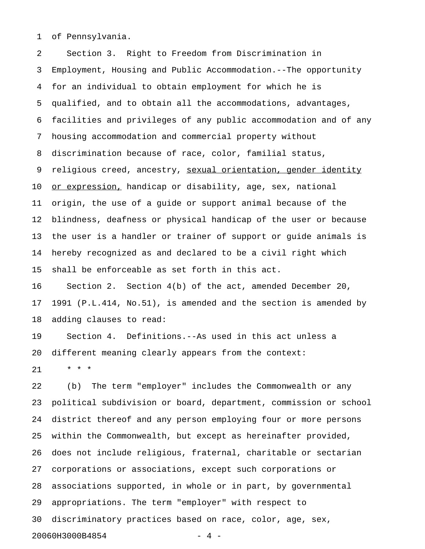1 of Pennsylvania.

2 Section 3. Right to Freedom from Discrimination in 3 Employment, Housing and Public Accommodation.--The opportunity 4 for an individual to obtain employment for which he is 5 qualified, and to obtain all the accommodations, advantages, 6 facilities and privileges of any public accommodation and of any 7 housing accommodation and commercial property without 8 discrimination because of race, color, familial status, 9 religious creed, ancestry, <u>sexual orientation, gender identity</u> 10 <u>or expression,</u> handicap or disability, age, sex, national 11 origin, the use of a guide or support animal because of the 12 blindness, deafness or physical handicap of the user or because 13 the user is a handler or trainer of support or guide animals is 14 hereby recognized as and declared to be a civil right which 15 shall be enforceable as set forth in this act. 16 Section 2. Section 4(b) of the act, amended December 20,

17 1991 (P.L.414, No.51), is amended and the section is amended by 18 adding clauses to read:

19 Section 4. Definitions.--As used in this act unless a 20 different meaning clearly appears from the context:

21 \* \* \*

22 (b) The term "employer" includes the Commonwealth or any 23 political subdivision or board, department, commission or school 24 district thereof and any person employing four or more persons 25 within the Commonwealth, but except as hereinafter provided, 26 does not include religious, fraternal, charitable or sectarian 27 corporations or associations, except such corporations or 28 associations supported, in whole or in part, by governmental 29 appropriations. The term "employer" with respect to 30 discriminatory practices based on race, color, age, sex, 20060H3000B4854 - 4 -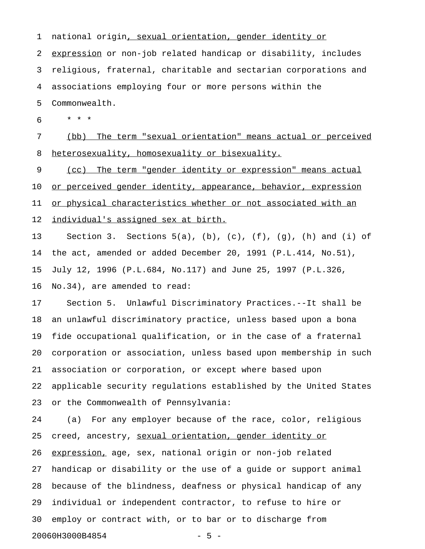1 national origin, sexual orientation, gender identity or 2 expression or non-job related handicap or disability, includes 3 religious, fraternal, charitable and sectarian corporations and 4 associations employing four or more persons within the 5 Commonwealth. 6 \* \* \* 7 (bb) The term "sexual orientation" means actual or perceived 8 heterosexuality, homosexuality or bisexuality. 9 (cc) The term "gender identity or expression" means actual 10 or perceived gender identity, appearance, behavior, expression 11 or physical characteristics whether or not associated with an 12 <u>individual's assigned sex at birth.</u> 13 Section 3. Sections 5(a), (b), (c), (f), (g), (h) and (i) of 14 the act, amended or added December 20, 1991 (P.L.414, No.51), 15 July 12, 1996 (P.L.684, No.117) and June 25, 1997 (P.L.326, 16 No.34), are amended to read: 17 Section 5. Unlawful Discriminatory Practices.--It shall be

18 an unlawful discriminatory practice, unless based upon a bona 19 fide occupational qualification, or in the case of a fraternal 20 corporation or association, unless based upon membership in such 21 association or corporation, or except where based upon 22 applicable security regulations established by the United States 23 or the Commonwealth of Pennsylvania:

24 (a) For any employer because of the race, color, religious 25 creed, ancestry, sexual orientation, gender identity or 26 expression, age, sex, national origin or non-job related 27 handicap or disability or the use of a guide or support animal 28 because of the blindness, deafness or physical handicap of any 29 individual or independent contractor, to refuse to hire or 30 employ or contract with, or to bar or to discharge from 20060H3000B4854 - 5 -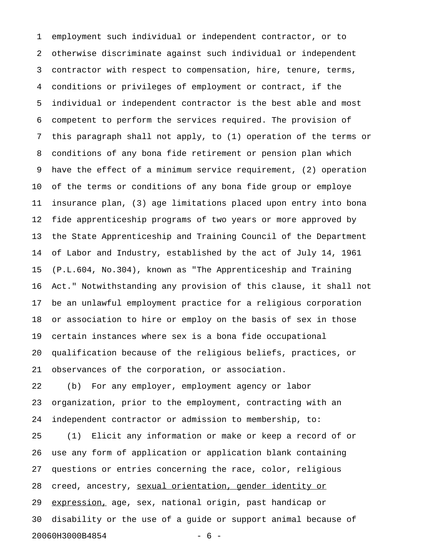1 employment such individual or independent contractor, or to 2 otherwise discriminate against such individual or independent 3 contractor with respect to compensation, hire, tenure, terms, 4 conditions or privileges of employment or contract, if the 5 individual or independent contractor is the best able and most 6 competent to perform the services required. The provision of 7 this paragraph shall not apply, to (1) operation of the terms or 8 conditions of any bona fide retirement or pension plan which 9 have the effect of a minimum service requirement, (2) operation 10 of the terms or conditions of any bona fide group or employe 11 insurance plan, (3) age limitations placed upon entry into bona 12 fide apprenticeship programs of two years or more approved by 13 the State Apprenticeship and Training Council of the Department 14 of Labor and Industry, established by the act of July 14, 1961 15 (P.L.604, No.304), known as "The Apprenticeship and Training 16 Act." Notwithstanding any provision of this clause, it shall not 17 be an unlawful employment practice for a religious corporation 18 or association to hire or employ on the basis of sex in those 19 certain instances where sex is a bona fide occupational 20 qualification because of the religious beliefs, practices, or 21 observances of the corporation, or association. 22 (b) For any employer, employment agency or labor 23 organization, prior to the employment, contracting with an 24 independent contractor or admission to membership, to: 25 (1) Elicit any information or make or keep a record of or 26 use any form of application or application blank containing

27 questions or entries concerning the race, color, religious 28 creed, ancestry, sexual orientation, gender identity or 29 expression, age, sex, national origin, past handicap or 30 disability or the use of a guide or support animal because of 20060H3000B4854 - 6 -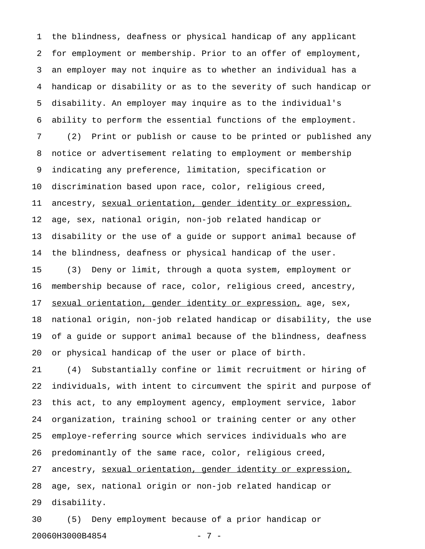1 the blindness, deafness or physical handicap of any applicant 2 for employment or membership. Prior to an offer of employment, 3 an employer may not inquire as to whether an individual has a 4 handicap or disability or as to the severity of such handicap or 5 disability. An employer may inquire as to the individual's 6 ability to perform the essential functions of the employment. 7 (2) Print or publish or cause to be printed or published any 8 notice or advertisement relating to employment or membership 9 indicating any preference, limitation, specification or 10 discrimination based upon race, color, religious creed, 11 ancestry, sexual orientation, gender identity or expression, 12 age, sex, national origin, non-job related handicap or 13 disability or the use of a guide or support animal because of 14 the blindness, deafness or physical handicap of the user. 15 (3) Deny or limit, through a quota system, employment or 16 membership because of race, color, religious creed, ancestry, 17 sexual orientation, gender identity or expression, age, sex, 18 national origin, non-job related handicap or disability, the use 19 of a guide or support animal because of the blindness, deafness 20 or physical handicap of the user or place of birth.

21 (4) Substantially confine or limit recruitment or hiring of 22 individuals, with intent to circumvent the spirit and purpose of 23 this act, to any employment agency, employment service, labor 24 organization, training school or training center or any other 25 employe-referring source which services individuals who are 26 predominantly of the same race, color, religious creed, 27 ancestry, sexual orientation, gender identity or expression, 28 age, sex, national origin or non-job related handicap or 29 disability.

30 (5) Deny employment because of a prior handicap or 20060H3000B4854 - 7 -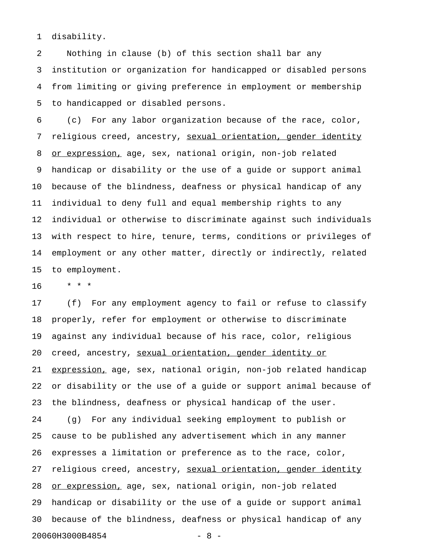1 disability.

2 Nothing in clause (b) of this section shall bar any 3 institution or organization for handicapped or disabled persons 4 from limiting or giving preference in employment or membership 5 to handicapped or disabled persons.

6 (c) For any labor organization because of the race, color, 7 religious creed, ancestry, sexual orientation, gender identity 8 or expression, age, sex, national origin, non-job related 9 handicap or disability or the use of a guide or support animal 10 because of the blindness, deafness or physical handicap of any 11 individual to deny full and equal membership rights to any 12 individual or otherwise to discriminate against such individuals 13 with respect to hire, tenure, terms, conditions or privileges of 14 employment or any other matter, directly or indirectly, related 15 to employment.

16 \* \* \*

17 (f) For any employment agency to fail or refuse to classify 18 properly, refer for employment or otherwise to discriminate 19 against any individual because of his race, color, religious 20 creed, ancestry, sexual orientation, gender identity or 21 expression, age, sex, national origin, non-job related handicap 22 or disability or the use of a guide or support animal because of 23 the blindness, deafness or physical handicap of the user. 24 (g) For any individual seeking employment to publish or 25 cause to be published any advertisement which in any manner 26 expresses a limitation or preference as to the race, color, 27 religious creed, ancestry, sexual orientation, gender identity 28 or expression, age, sex, national origin, non-job related 29 handicap or disability or the use of a guide or support animal 30 because of the blindness, deafness or physical handicap of any 20060H3000B4854 - 8 -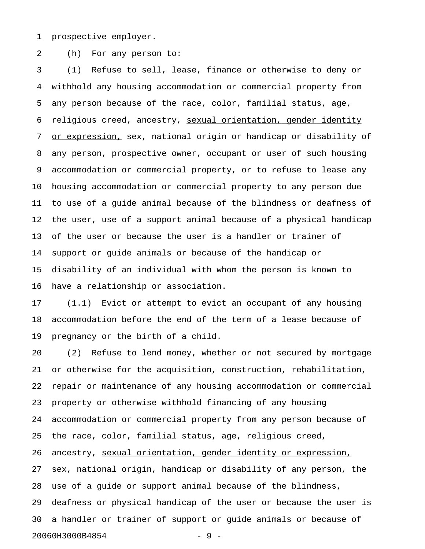1 prospective employer.

2 (h) For any person to:

3 (1) Refuse to sell, lease, finance or otherwise to deny or 4 withhold any housing accommodation or commercial property from 5 any person because of the race, color, familial status, age, 6 religious creed, ancestry, sexual orientation, gender identity 7 or expression, sex, national origin or handicap or disability of 8 any person, prospective owner, occupant or user of such housing 9 accommodation or commercial property, or to refuse to lease any 10 housing accommodation or commercial property to any person due 11 to use of a guide animal because of the blindness or deafness of 12 the user, use of a support animal because of a physical handicap 13 of the user or because the user is a handler or trainer of 14 support or guide animals or because of the handicap or 15 disability of an individual with whom the person is known to 16 have a relationship or association.

17 (1.1) Evict or attempt to evict an occupant of any housing 18 accommodation before the end of the term of a lease because of 19 pregnancy or the birth of a child.

20 (2) Refuse to lend money, whether or not secured by mortgage 21 or otherwise for the acquisition, construction, rehabilitation, 22 repair or maintenance of any housing accommodation or commercial 23 property or otherwise withhold financing of any housing 24 accommodation or commercial property from any person because of 25 the race, color, familial status, age, religious creed, 26 ancestry, sexual orientation, gender identity or expression, 27 sex, national origin, handicap or disability of any person, the 28 use of a guide or support animal because of the blindness, 29 deafness or physical handicap of the user or because the user is 30 a handler or trainer of support or guide animals or because of 20060H3000B4854 - 9 -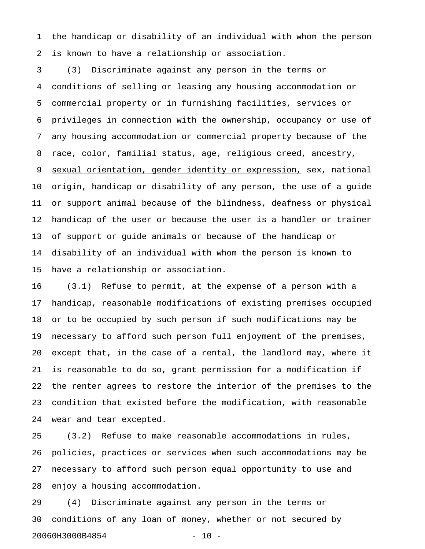1 the handicap or disability of an individual with whom the person 2 is known to have a relationship or association.

3 (3) Discriminate against any person in the terms or 4 conditions of selling or leasing any housing accommodation or 5 commercial property or in furnishing facilities, services or 6 privileges in connection with the ownership, occupancy or use of 7 any housing accommodation or commercial property because of the 8 race, color, familial status, age, religious creed, ancestry, 9 sexual orientation, gender identity or expression, sex, national 10 origin, handicap or disability of any person, the use of a guide 11 or support animal because of the blindness, deafness or physical 12 handicap of the user or because the user is a handler or trainer 13 of support or guide animals or because of the handicap or 14 disability of an individual with whom the person is known to 15 have a relationship or association.

16 (3.1) Refuse to permit, at the expense of a person with a 17 handicap, reasonable modifications of existing premises occupied 18 or to be occupied by such person if such modifications may be 19 necessary to afford such person full enjoyment of the premises, 20 except that, in the case of a rental, the landlord may, where it 21 is reasonable to do so, grant permission for a modification if 22 the renter agrees to restore the interior of the premises to the 23 condition that existed before the modification, with reasonable 24 wear and tear excepted.

25 (3.2) Refuse to make reasonable accommodations in rules, 26 policies, practices or services when such accommodations may be 27 necessary to afford such person equal opportunity to use and 28 enjoy a housing accommodation.

29 (4) Discriminate against any person in the terms or 30 conditions of any loan of money, whether or not secured by 20060H3000B4854 - 10 -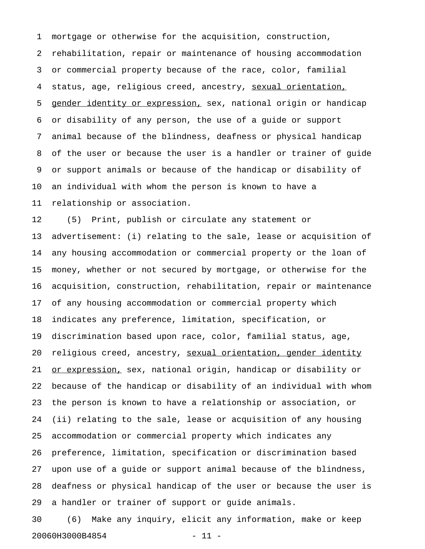1 mortgage or otherwise for the acquisition, construction, 2 rehabilitation, repair or maintenance of housing accommodation 3 or commercial property because of the race, color, familial 4 status, age, religious creed, ancestry, sexual orientation, 5 gender identity or expression, sex, national origin or handicap 6 or disability of any person, the use of a guide or support 7 animal because of the blindness, deafness or physical handicap 8 of the user or because the user is a handler or trainer of guide 9 or support animals or because of the handicap or disability of 10 an individual with whom the person is known to have a 11 relationship or association.

12 (5) Print, publish or circulate any statement or 13 advertisement: (i) relating to the sale, lease or acquisition of 14 any housing accommodation or commercial property or the loan of 15 money, whether or not secured by mortgage, or otherwise for the 16 acquisition, construction, rehabilitation, repair or maintenance 17 of any housing accommodation or commercial property which 18 indicates any preference, limitation, specification, or 19 discrimination based upon race, color, familial status, age, 20 religious creed, ancestry, sexual orientation, gender identity 21 <u>or expression,</u> sex, national origin, handicap or disability or 22 because of the handicap or disability of an individual with whom 23 the person is known to have a relationship or association, or 24 (ii) relating to the sale, lease or acquisition of any housing 25 accommodation or commercial property which indicates any 26 preference, limitation, specification or discrimination based 27 upon use of a guide or support animal because of the blindness, 28 deafness or physical handicap of the user or because the user is 29 a handler or trainer of support or guide animals.

30 (6) Make any inquiry, elicit any information, make or keep 20060H3000B4854 - 11 -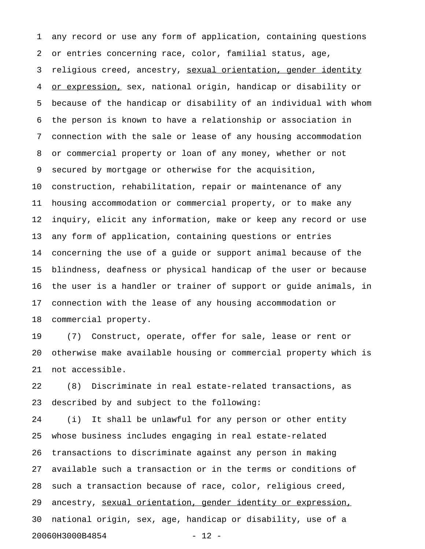1 any record or use any form of application, containing questions 2 or entries concerning race, color, familial status, age, 3 religious creed, ancestry, sexual orientation, gender identity 4 or expression, sex, national origin, handicap or disability or 5 because of the handicap or disability of an individual with whom 6 the person is known to have a relationship or association in 7 connection with the sale or lease of any housing accommodation 8 or commercial property or loan of any money, whether or not 9 secured by mortgage or otherwise for the acquisition, 10 construction, rehabilitation, repair or maintenance of any 11 housing accommodation or commercial property, or to make any 12 inquiry, elicit any information, make or keep any record or use 13 any form of application, containing questions or entries 14 concerning the use of a guide or support animal because of the 15 blindness, deafness or physical handicap of the user or because 16 the user is a handler or trainer of support or guide animals, in 17 connection with the lease of any housing accommodation or 18 commercial property.

19 (7) Construct, operate, offer for sale, lease or rent or 20 otherwise make available housing or commercial property which is 21 not accessible.

22 (8) Discriminate in real estate-related transactions, as 23 described by and subject to the following:

24 (i) It shall be unlawful for any person or other entity 25 whose business includes engaging in real estate-related 26 transactions to discriminate against any person in making 27 available such a transaction or in the terms or conditions of 28 such a transaction because of race, color, religious creed, 29 ancestry, sexual orientation, gender identity or expression, 30 national origin, sex, age, handicap or disability, use of a 20060H3000B4854 - 12 -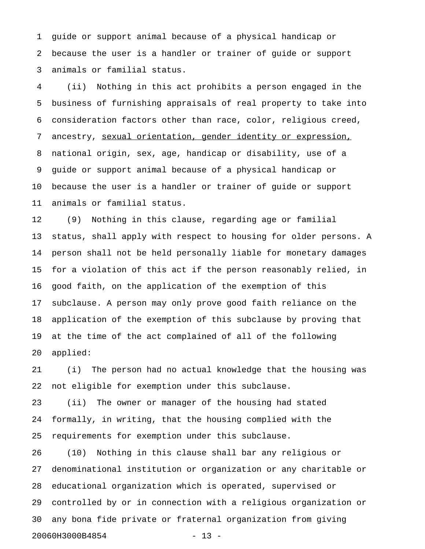1 guide or support animal because of a physical handicap or 2 because the user is a handler or trainer of guide or support 3 animals or familial status.

4 (ii) Nothing in this act prohibits a person engaged in the 5 business of furnishing appraisals of real property to take into 6 consideration factors other than race, color, religious creed, 7 ancestry, sexual orientation, gender identity or expression, 8 national origin, sex, age, handicap or disability, use of a 9 guide or support animal because of a physical handicap or 10 because the user is a handler or trainer of guide or support 11 animals or familial status.

12 (9) Nothing in this clause, regarding age or familial 13 status, shall apply with respect to housing for older persons. A 14 person shall not be held personally liable for monetary damages 15 for a violation of this act if the person reasonably relied, in 16 good faith, on the application of the exemption of this 17 subclause. A person may only prove good faith reliance on the 18 application of the exemption of this subclause by proving that 19 at the time of the act complained of all of the following 20 applied:

21 (i) The person had no actual knowledge that the housing was 22 not eligible for exemption under this subclause.

23 (ii) The owner or manager of the housing had stated 24 formally, in writing, that the housing complied with the 25 requirements for exemption under this subclause.

26 (10) Nothing in this clause shall bar any religious or 27 denominational institution or organization or any charitable or 28 educational organization which is operated, supervised or 29 controlled by or in connection with a religious organization or 30 any bona fide private or fraternal organization from giving 20060H3000B4854 - 13 -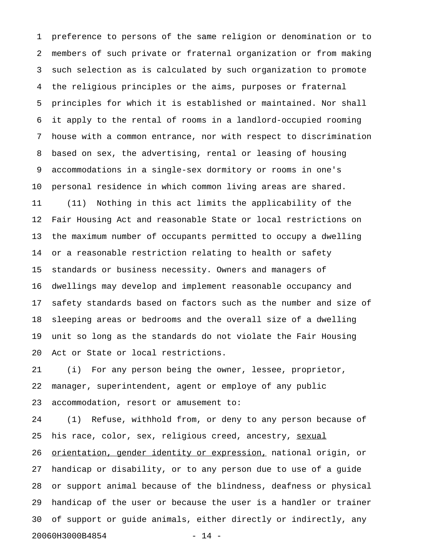1 preference to persons of the same religion or denomination or to 2 members of such private or fraternal organization or from making 3 such selection as is calculated by such organization to promote 4 the religious principles or the aims, purposes or fraternal 5 principles for which it is established or maintained. Nor shall 6 it apply to the rental of rooms in a landlord-occupied rooming 7 house with a common entrance, nor with respect to discrimination 8 based on sex, the advertising, rental or leasing of housing 9 accommodations in a single-sex dormitory or rooms in one's 10 personal residence in which common living areas are shared. 11 (11) Nothing in this act limits the applicability of the 12 Fair Housing Act and reasonable State or local restrictions on 13 the maximum number of occupants permitted to occupy a dwelling 14 or a reasonable restriction relating to health or safety 15 standards or business necessity. Owners and managers of 16 dwellings may develop and implement reasonable occupancy and 17 safety standards based on factors such as the number and size of 18 sleeping areas or bedrooms and the overall size of a dwelling 19 unit so long as the standards do not violate the Fair Housing 20 Act or State or local restrictions.

21 (i) For any person being the owner, lessee, proprietor, 22 manager, superintendent, agent or employe of any public 23 accommodation, resort or amusement to:

24 (1) Refuse, withhold from, or deny to any person because of 25 his race, color, sex, religious creed, ancestry, sexual 26 orientation, gender identity or expression, national origin, or 27 handicap or disability, or to any person due to use of a guide 28 or support animal because of the blindness, deafness or physical 29 handicap of the user or because the user is a handler or trainer 30 of support or guide animals, either directly or indirectly, any 20060H3000B4854 - 14 -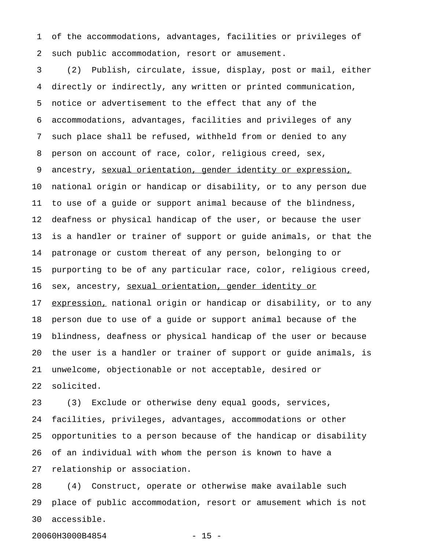1 of the accommodations, advantages, facilities or privileges of 2 such public accommodation, resort or amusement.

3 (2) Publish, circulate, issue, display, post or mail, either 4 directly or indirectly, any written or printed communication, 5 notice or advertisement to the effect that any of the 6 accommodations, advantages, facilities and privileges of any 7 such place shall be refused, withheld from or denied to any 8 person on account of race, color, religious creed, sex, 9 ancestry, sexual orientation, gender identity or expression, 10 national origin or handicap or disability, or to any person due 11 to use of a guide or support animal because of the blindness, 12 deafness or physical handicap of the user, or because the user 13 is a handler or trainer of support or guide animals, or that the 14 patronage or custom thereat of any person, belonging to or 15 purporting to be of any particular race, color, religious creed, 16 sex, ancestry, sexual orientation, gender identity or 17 expression, national origin or handicap or disability, or to any 18 person due to use of a guide or support animal because of the 19 blindness, deafness or physical handicap of the user or because 20 the user is a handler or trainer of support or guide animals, is 21 unwelcome, objectionable or not acceptable, desired or 22 solicited.

23 (3) Exclude or otherwise deny equal goods, services, 24 facilities, privileges, advantages, accommodations or other 25 opportunities to a person because of the handicap or disability 26 of an individual with whom the person is known to have a 27 relationship or association.

28 (4) Construct, operate or otherwise make available such 29 place of public accommodation, resort or amusement which is not 30 accessible.

20060H3000B4854 - 15 -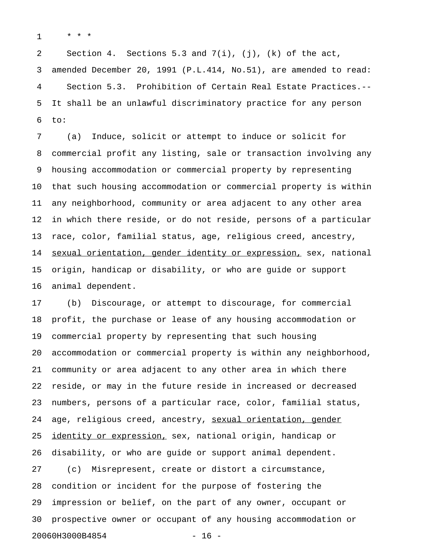1 \* \* \*

2 Section 4. Sections 5.3 and 7(i), (j), (k) of the act, 3 amended December 20, 1991 (P.L.414, No.51), are amended to read: 4 Section 5.3. Prohibition of Certain Real Estate Practices.-- 5 It shall be an unlawful discriminatory practice for any person 6 to:

7 (a) Induce, solicit or attempt to induce or solicit for 8 commercial profit any listing, sale or transaction involving any 9 housing accommodation or commercial property by representing 10 that such housing accommodation or commercial property is within 11 any neighborhood, community or area adjacent to any other area 12 in which there reside, or do not reside, persons of a particular 13 race, color, familial status, age, religious creed, ancestry, 14 sexual orientation, gender identity or expression, sex, national 15 origin, handicap or disability, or who are guide or support 16 animal dependent.

17 (b) Discourage, or attempt to discourage, for commercial 18 profit, the purchase or lease of any housing accommodation or 19 commercial property by representing that such housing 20 accommodation or commercial property is within any neighborhood, 21 community or area adjacent to any other area in which there 22 reside, or may in the future reside in increased or decreased 23 numbers, persons of a particular race, color, familial status, 24 age, religious creed, ancestry, sexual orientation, gender 25 identity or expression, sex, national origin, handicap or 26 disability, or who are guide or support animal dependent. 27 (c) Misrepresent, create or distort a circumstance, 28 condition or incident for the purpose of fostering the 29 impression or belief, on the part of any owner, occupant or 30 prospective owner or occupant of any housing accommodation or 20060H3000B4854 - 16 -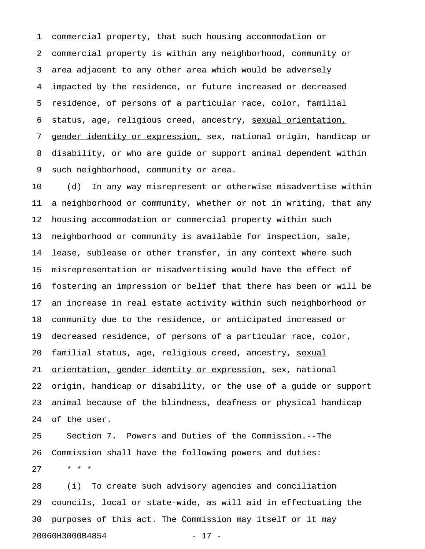1 commercial property, that such housing accommodation or 2 commercial property is within any neighborhood, community or 3 area adjacent to any other area which would be adversely 4 impacted by the residence, or future increased or decreased 5 residence, of persons of a particular race, color, familial 6 status, age, religious creed, ancestry, sexual orientation, 7 gender identity or expression, sex, national origin, handicap or 8 disability, or who are guide or support animal dependent within 9 such neighborhood, community or area.

10 (d) In any way misrepresent or otherwise misadvertise within 11 a neighborhood or community, whether or not in writing, that any 12 housing accommodation or commercial property within such 13 neighborhood or community is available for inspection, sale, 14 lease, sublease or other transfer, in any context where such 15 misrepresentation or misadvertising would have the effect of 16 fostering an impression or belief that there has been or will be 17 an increase in real estate activity within such neighborhood or 18 community due to the residence, or anticipated increased or 19 decreased residence, of persons of a particular race, color, 20 familial status, age, religious creed, ancestry, sexual 21 orientation, gender identity or expression, sex, national 22 origin, handicap or disability, or the use of a guide or support 23 animal because of the blindness, deafness or physical handicap 24 of the user.

25 Section 7. Powers and Duties of the Commission.--The 26 Commission shall have the following powers and duties: 27 \* \* \*

28 (i) To create such advisory agencies and conciliation 29 councils, local or state-wide, as will aid in effectuating the 30 purposes of this act. The Commission may itself or it may 20060H3000B4854 - 17 -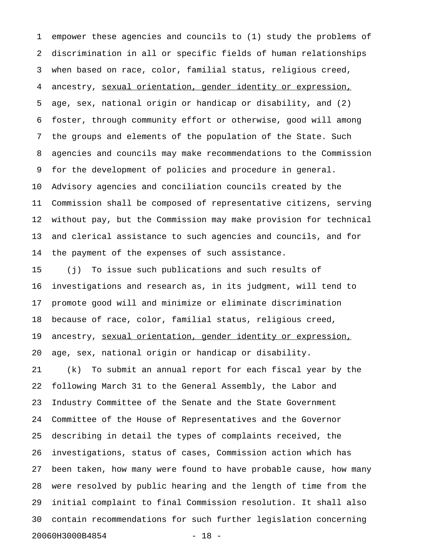1 empower these agencies and councils to (1) study the problems of 2 discrimination in all or specific fields of human relationships 3 when based on race, color, familial status, religious creed, 4 ancestry, sexual orientation, gender identity or expression, 5 age, sex, national origin or handicap or disability, and (2) 6 foster, through community effort or otherwise, good will among 7 the groups and elements of the population of the State. Such 8 agencies and councils may make recommendations to the Commission 9 for the development of policies and procedure in general. 10 Advisory agencies and conciliation councils created by the 11 Commission shall be composed of representative citizens, serving 12 without pay, but the Commission may make provision for technical 13 and clerical assistance to such agencies and councils, and for 14 the payment of the expenses of such assistance.

15 (j) To issue such publications and such results of 16 investigations and research as, in its judgment, will tend to 17 promote good will and minimize or eliminate discrimination 18 because of race, color, familial status, religious creed, 19 ancestry, sexual orientation, gender identity or expression, 20 age, sex, national origin or handicap or disability. 21 (k) To submit an annual report for each fiscal year by the 22 following March 31 to the General Assembly, the Labor and 23 Industry Committee of the Senate and the State Government 24 Committee of the House of Representatives and the Governor 25 describing in detail the types of complaints received, the 26 investigations, status of cases, Commission action which has 27 been taken, how many were found to have probable cause, how many 28 were resolved by public hearing and the length of time from the 29 initial complaint to final Commission resolution. It shall also 30 contain recommendations for such further legislation concerning 20060H3000B4854 - 18 -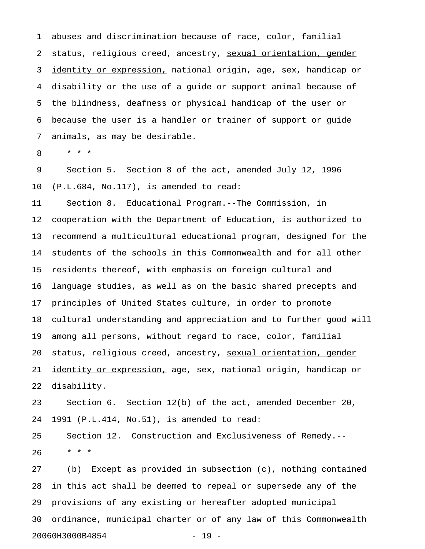1 abuses and discrimination because of race, color, familial 2 status, religious creed, ancestry, sexual orientation, gender 3 identity or expression, national origin, age, sex, handicap or 4 disability or the use of a guide or support animal because of 5 the blindness, deafness or physical handicap of the user or 6 because the user is a handler or trainer of support or guide 7 animals, as may be desirable.

8 \* \* \*

9 Section 5. Section 8 of the act, amended July 12, 1996 10 (P.L.684, No.117), is amended to read:

11 Section 8. Educational Program.--The Commission, in 12 cooperation with the Department of Education, is authorized to 13 recommend a multicultural educational program, designed for the 14 students of the schools in this Commonwealth and for all other 15 residents thereof, with emphasis on foreign cultural and 16 language studies, as well as on the basic shared precepts and 17 principles of United States culture, in order to promote 18 cultural understanding and appreciation and to further good will 19 among all persons, without regard to race, color, familial 20 status, religious creed, ancestry, sexual orientation, gender 21 identity or expression, age, sex, national origin, handicap or 22 disability.

23 Section 6. Section 12(b) of the act, amended December 20, 24 1991 (P.L.414, No.51), is amended to read:

25 Section 12. Construction and Exclusiveness of Remedy.-- 26 \* \* \*

27 (b) Except as provided in subsection (c), nothing contained 28 in this act shall be deemed to repeal or supersede any of the 29 provisions of any existing or hereafter adopted municipal 30 ordinance, municipal charter or of any law of this Commonwealth 20060H3000B4854 - 19 -